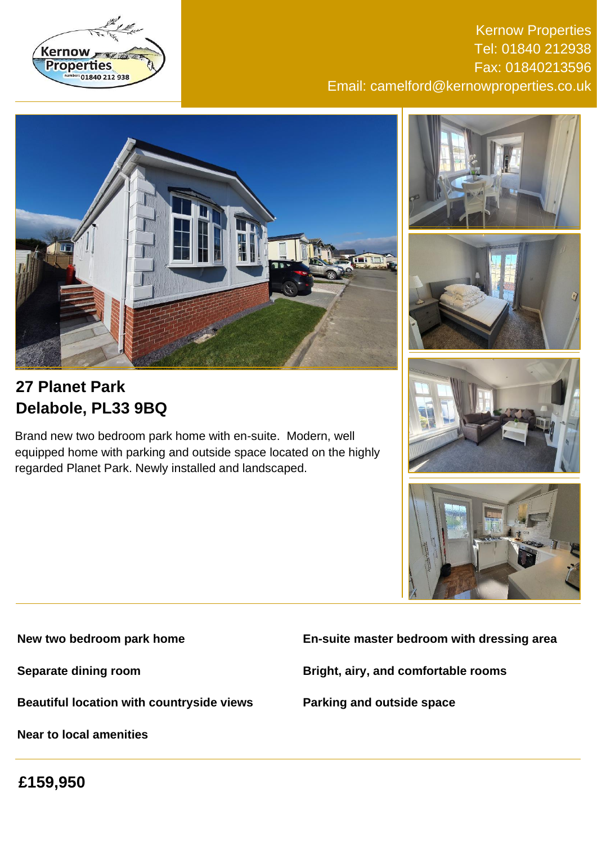

Kernow Properties Tel: 01840 212938 Fax: 01840213596 Email: camelford@kernowproperties.co.uk



# **27 Planet Park Delabole, PL33 9BQ**

Brand new two bedroom park home with en-suite. Modern, well equipped home with parking and outside space located on the highly regarded Planet Park. Newly installed and landscaped.









**New two bedroom park home**

**Separate dining room**

**Beautiful location with countryside views**

**Near to local amenities**

**En-suite master bedroom with dressing area**

**Bright, airy, and comfortable rooms**

**Parking and outside space**

**£159,950**